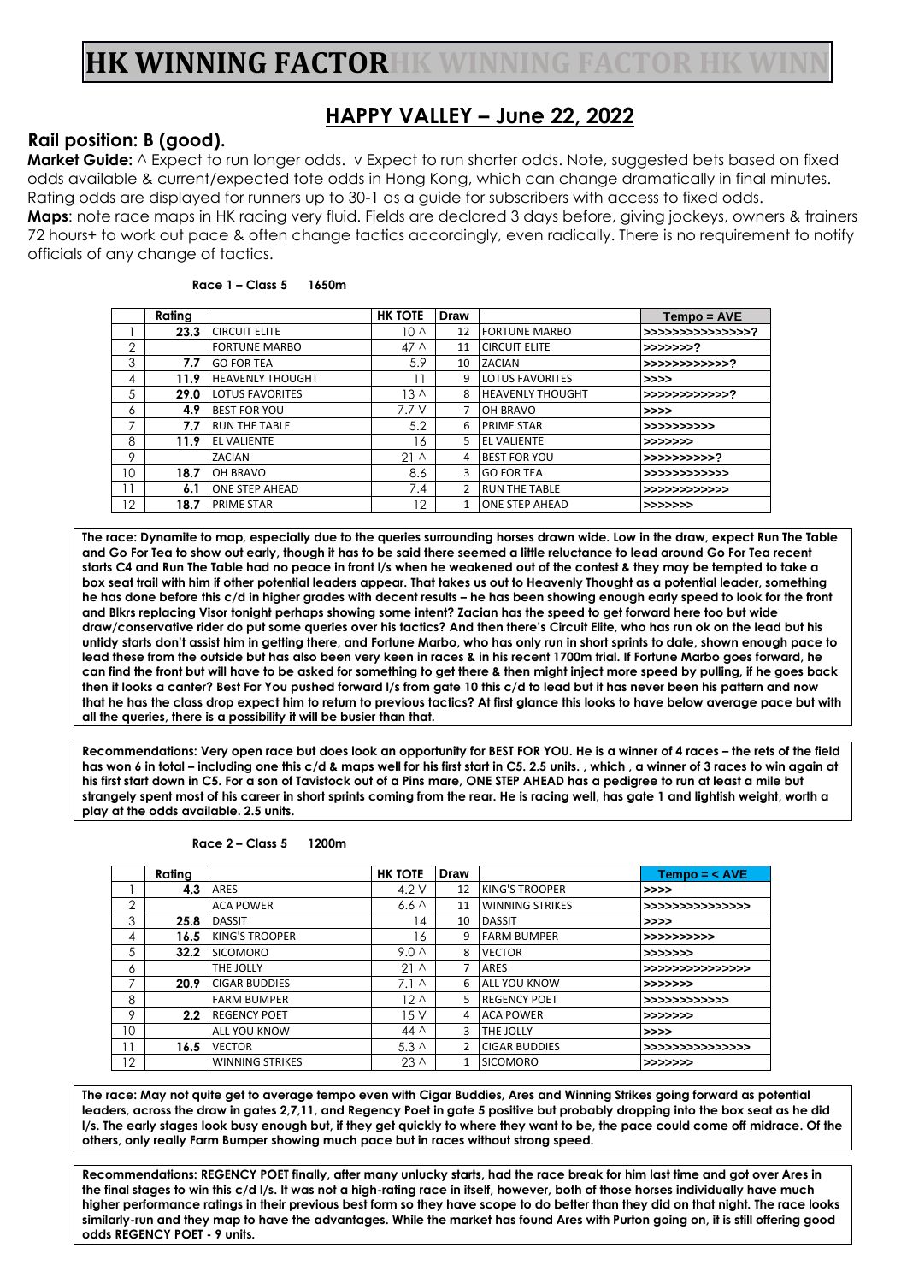# **HK WINNING FACTORHK WINNING FACTOR HK WINN**

## **HAPPY VALLEY – June 22, 2022**

### **Rail position: B (good).**

**Market Guide:**  $\land$  Expect to run longer odds. v Expect to run shorter odds. Note, suggested bets based on fixed odds available & current/expected tote odds in Hong Kong, which can change dramatically in final minutes. Rating odds are displayed for runners up to 30-1 as a guide for subscribers with access to fixed odds.

**Maps**: note race maps in HK racing very fluid. Fields are declared 3 days before, giving jockeys, owners & trainers 72 hours+ to work out pace & often change tactics accordingly, even radically. There is no requirement to notify officials of any change of tactics.

| Race 1 – Class 5<br>1650m |
|---------------------------|
|---------------------------|

|                 | Rating |                         | <b>HK TOTE</b>  | Draw           |                         | $Tempo = AVE$    |
|-----------------|--------|-------------------------|-----------------|----------------|-------------------------|------------------|
|                 | 23.3   | <b>CIRCUIT ELITE</b>    | 10 <sub>0</sub> | 12             | <b>FORTUNE MARBO</b>    | >>>>>>>>>>>>>>>> |
| $\overline{2}$  |        | <b>FORTUNE MARBO</b>    | 47 <sub>0</sub> | 11             | <b>CIRCUIT ELITE</b>    | >>>>>>>?         |
| 3               | 7.7    | <b>GO FOR TEA</b>       | 5.9             | 10             | <b>ZACIAN</b>           | >>>>>>>>>>>>>?   |
| 4               | 11.9   | <b>HEAVENLY THOUGHT</b> | 1               | 9              | <b>LOTUS FAVORITES</b>  | >>>>             |
| 5               | 29.0   | <b>LOTUS FAVORITES</b>  | 13 <sub>0</sub> | 8              | <b>HEAVENLY THOUGHT</b> | >>>>>>>>>>>>>?   |
| 6               | 4.9    | <b>BEST FOR YOU</b>     | 7.7V            | 7              | <b>OH BRAVO</b>         | >>>>             |
| $\overline{ }$  | 7.7    | <b>RUN THE TABLE</b>    | 5.2             | 6              | <b>PRIME STAR</b>       | >>>>>>>>>>>      |
| 8               | 11.9   | <b>EL VALIENTE</b>      | 16              | 5              | <b>EL VALIENTE</b>      | >>>>>>>          |
| 9               |        | ZACIAN                  | 21 <sub>0</sub> | 4              | <b>BEST FOR YOU</b>     | >>>>>>>>>>>?     |
| 10              | 18.7   | <b>OH BRAVO</b>         | 8.6             | 3              | <b>GO FOR TEA</b>       | >>>>>>>>>>>>>    |
| $\mathbf{1}$    | 6.1    | <b>ONE STEP AHEAD</b>   | 7.4             | $\overline{2}$ | <b>RUN THE TABLE</b>    | >>>>>>>>>>>>>    |
| 12 <sup>°</sup> | 18.7   | <b>PRIME STAR</b>       | 12              | $\mathbf{1}$   | <b>ONE STEP AHEAD</b>   | >>>>>>>          |

**The race: Dynamite to map, especially due to the queries surrounding horses drawn wide. Low in the draw, expect Run The Table and Go For Tea to show out early, though it has to be said there seemed a little reluctance to lead around Go For Tea recent starts C4 and Run The Table had no peace in front l/s when he weakened out of the contest & they may be tempted to take a box seat trail with him if other potential leaders appear. That takes us out to Heavenly Thought as a potential leader, something he has done before this c/d in higher grades with decent results – he has been showing enough early speed to look for the front and Blkrs replacing Visor tonight perhaps showing some intent? Zacian has the speed to get forward here too but wide draw/conservative rider do put some queries over his tactics? And then there's Circuit Elite, who has run ok on the lead but his untidy starts don't assist him in getting there, and Fortune Marbo, who has only run in short sprints to date, shown enough pace to lead these from the outside but has also been very keen in races & in his recent 1700m trial. If Fortune Marbo goes forward, he can find the front but will have to be asked for something to get there & then might inject more speed by pulling, if he goes back then it looks a canter? Best For You pushed forward l/s from gate 10 this c/d to lead but it has never been his pattern and now that he has the class drop expect him to return to previous tactics? At first glance this looks to have below average pace but with all the queries, there is a possibility it will be busier than that.**

**Recommendations: Very open race but does look an opportunity for BEST FOR YOU. He is a winner of 4 races – the rets of the field has won 6 in total – including one this c/d & maps well for his first start in C5. 2.5 units. , which , a winner of 3 races to win again at his first start down in C5. For a son of Tavistock out of a Pins mare, ONE STEP AHEAD has a pedigree to run at least a mile but strangely spent most of his career in short sprints coming from the rear. He is racing well, has gate 1 and lightish weight, worth a play at the odds available. 2.5 units.**

|                         | Rating |                        | <b>HK TOTE</b>   | Draw           |                        | $Tempo = < AVE$  |
|-------------------------|--------|------------------------|------------------|----------------|------------------------|------------------|
|                         | 4.3    | <b>ARES</b>            | 4.2V             | 12             | KING'S TROOPER         | >>>>             |
| $\overline{2}$          |        | <b>ACA POWER</b>       | 6.6 <sub>0</sub> | 11             | <b>WINNING STRIKES</b> | >>>>>>>>>>>>>>>> |
| 3                       | 25.8   | <b>DASSIT</b>          | 14               | 10             | <b>DASSIT</b>          | >>>>             |
| 4                       | 16.5   | <b>KING'S TROOPER</b>  | 16               | 9              | <b>FARM BUMPER</b>     | >>>>>>>>>>>      |
| 5                       | 32.2   | <b>SICOMORO</b>        | 9.0 <sub>0</sub> | 8              | <b>VECTOR</b>          | >>>>>>>          |
| 6                       |        | THE JOLLY              | 21 <sub>0</sub>  | 7              | <b>ARES</b>            | >>>>>>>>>>>>>>>> |
|                         | 20.9   | <b>CIGAR BUDDIES</b>   | $7.1 \wedge$     | 6              | <b>ALL YOU KNOW</b>    | >>>>>>>          |
| 8                       |        | <b>FARM BUMPER</b>     | 12 <sub>0</sub>  | 5              | <b>REGENCY POET</b>    | >>>>>>>>>>>>>    |
| $\circ$                 | 2.2    | <b>REGENCY POET</b>    | 15V              | 4              | <b>ACA POWER</b>       | >>>>>>>          |
| 10                      |        | <b>ALL YOU KNOW</b>    | 44 $\wedge$      | 3              | THE JOLLY              | >>>>             |
| $\overline{\mathbf{1}}$ | 16.5   | <b>VECTOR</b>          | 5.3 <sub>0</sub> | $\overline{2}$ | <b>CIGAR BUDDIES</b>   | >>>>>>>>>>>>>>>> |
| 12                      |        | <b>WINNING STRIKES</b> | $23 \wedge$      | $\mathbf{1}$   | <b>SICOMORO</b>        | >>>>>>>          |

**Race 2 – Class 5 1200m**

**The race: May not quite get to average tempo even with Cigar Buddies, Ares and Winning Strikes going forward as potential leaders, across the draw in gates 2,7,11, and Regency Poet in gate 5 positive but probably dropping into the box seat as he did l/s. The early stages look busy enough but, if they get quickly to where they want to be, the pace could come off midrace. Of the others, only really Farm Bumper showing much pace but in races without strong speed.**

**Recommendations: REGENCY POET finally, after many unlucky starts, had the race break for him last time and got over Ares in the final stages to win this c/d l/s. It was not a high-rating race in itself, however, both of those horses individually have much higher performance ratings in their previous best form so they have scope to do better than they did on that night. The race looks similarly-run and they map to have the advantages. While the market has found Ares with Purton going on, it is still offering good odds REGENCY POET - 9 units.**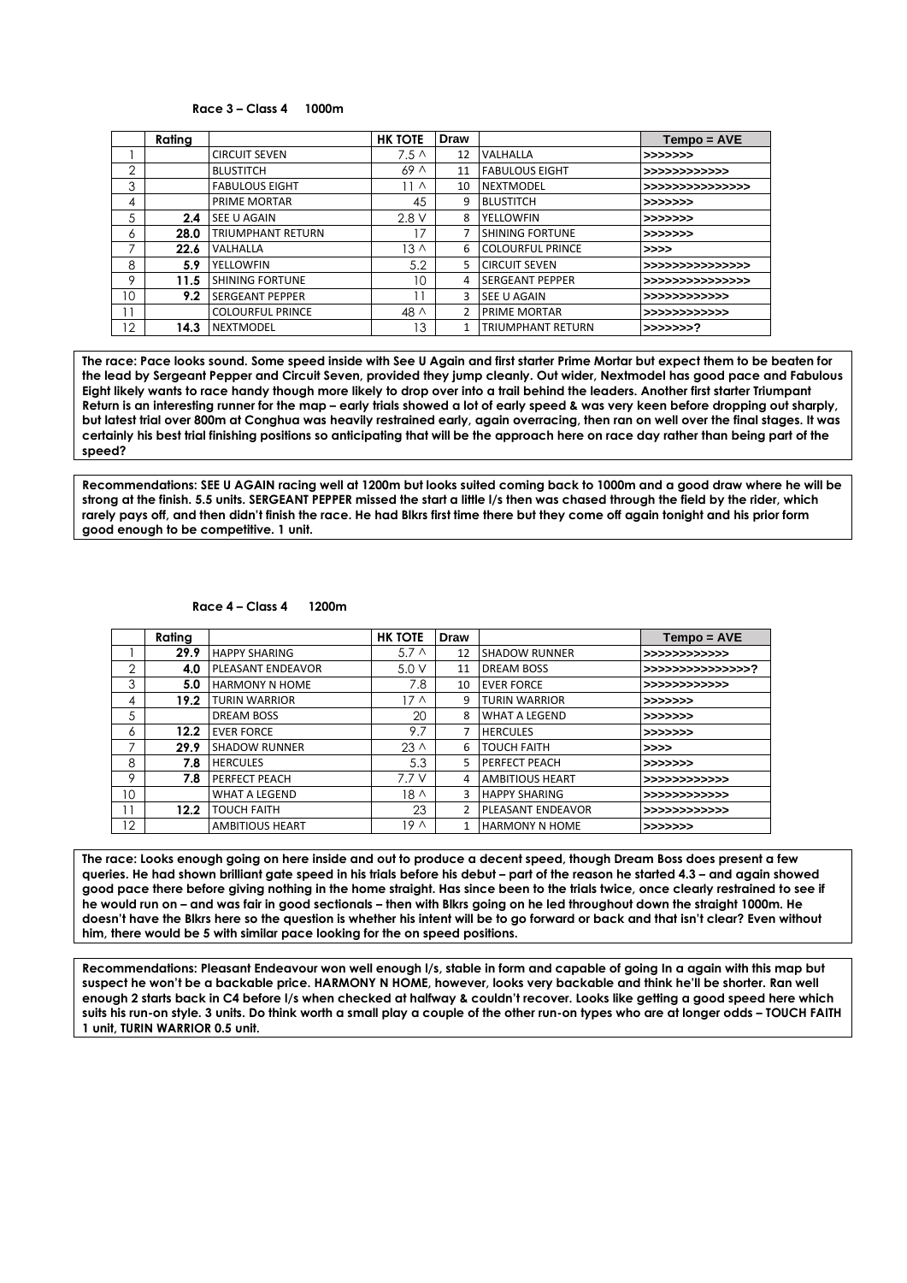#### **Race 3 – Class 4 1000m**

|    | Rating |                          | <b>HK TOTE</b>   | Draw          |                          | $Tempo = AVE$     |  |
|----|--------|--------------------------|------------------|---------------|--------------------------|-------------------|--|
|    |        | <b>CIRCUIT SEVEN</b>     | 7.5 <sub>0</sub> | 12            | VALHALLA                 | >>>>>>>           |  |
| 2  |        | <b>BLUSTITCH</b>         | 69 <sub>0</sub>  | 11            | <b>FABULOUS EIGHT</b>    | >>>>>>>>>>>>>     |  |
| 3  |        | <b>FABULOUS EIGHT</b>    | 11 ^             | 10            | <b>NEXTMODEL</b>         | >>>>>>>>>>>>>>>>> |  |
| 4  |        | PRIME MORTAR             | 45               | 9             | <b>BLUSTITCH</b>         | >>>>>>>           |  |
| 5  | 2.4    | <b>SEE U AGAIN</b>       | 2.8V             | 8             | YELLOWFIN                | >>>>>>>           |  |
| 6  | 28.0   | <b>TRIUMPHANT RETURN</b> | 17               | 7             | <b>SHINING FORTUNE</b>   | >>>>>>>           |  |
|    | 22.6   | VALHALLA                 | $13 \wedge$      | 6             | <b>COLOURFUL PRINCE</b>  | >>>>              |  |
| 8  | 5.9    | YELLOWFIN                | 5.2              | 5             | <b>CIRCUIT SEVEN</b>     | >>>>>>>>>>>>>>>>> |  |
| 9  | 11.5   | <b>SHINING FORTUNE</b>   | 10               | 4             | <b>SERGEANT PEPPER</b>   | >>>>>>>>>>>>>>>>  |  |
| 10 | 9.2    | <b>SERGEANT PEPPER</b>   |                  | 3             | SEE U AGAIN              | >>>>>>>>>>>>>     |  |
| 1  |        | <b>COLOURFUL PRINCE</b>  | $48 \wedge$      | $\mathfrak z$ | <b>PRIME MORTAR</b>      | >>>>>>>>>>>>>     |  |
| 12 | 14.3   | <b>NEXTMODEL</b>         | 13               | 1             | <b>TRIUMPHANT RETURN</b> | >>>>>>>?          |  |

**The race: Pace looks sound. Some speed inside with See U Again and first starter Prime Mortar but expect them to be beaten for the lead by Sergeant Pepper and Circuit Seven, provided they jump cleanly. Out wider, Nextmodel has good pace and Fabulous Eight likely wants to race handy though more likely to drop over into a trail behind the leaders. Another first starter Triumpant Return is an interesting runner for the map – early trials showed a lot of early speed & was very keen before dropping out sharply, but latest trial over 800m at Conghua was heavily restrained early, again overracing, then ran on well over the final stages. It was certainly his best trial finishing positions so anticipating that will be the approach here on race day rather than being part of the speed?** 

**Recommendations: SEE U AGAIN racing well at 1200m but looks suited coming back to 1000m and a good draw where he will be strong at the finish. 5.5 units. SERGEANT PEPPER missed the start a little l/s then was chased through the field by the rider, which rarely pays off, and then didn't finish the race. He had Blkrs first time there but they come off again tonight and his prior form good enough to be competitive. 1 unit.**

**Race 4 – Class 4 1200m**

|                 | Rating |                          | <b>HK TOTE</b>  | Draw          |                          | $Tempo = AVE$     |
|-----------------|--------|--------------------------|-----------------|---------------|--------------------------|-------------------|
|                 | 29.9   | <b>HAPPY SHARING</b>     | $5.7\Lambda$    | 12            | <b>SHADOW RUNNER</b>     | >>>>>>>>>>>>>     |
| $\overline{2}$  | 4.0    | <b>PLEASANT ENDEAVOR</b> | 5.0V            | 11            | <b>DREAM BOSS</b>        | >>>>>>>>>>>>>>>>> |
| 3               | 5.0    | <b>HARMONY N HOME</b>    | 7.8             | 10            | <b>EVER FORCE</b>        | >>>>>>>>>>>>>     |
| 4               | 19.2   | <b>TURIN WARRIOR</b>     | 17 A            | 9             | <b>TURIN WARRIOR</b>     | >>>>>>>           |
| 5               |        | <b>DREAM BOSS</b>        | 20              | 8             | <b>WHAT A LEGEND</b>     | >>>>>>>           |
| 6               | 12.2   | <b>EVER FORCE</b>        | 9.7             | 7             | <b>HERCULES</b>          | >>>>>>>           |
| 7               | 29.9   | <b>SHADOW RUNNER</b>     | $23 \wedge$     | 6             | <b>TOUCH FAITH</b>       | >>>>              |
| 8               | 7.8    | <b>HERCULES</b>          | 5.3             | 5.            | <b>PERFECT PEACH</b>     | >>>>>>>           |
| 9               | 7.8    | <b>PERFECT PEACH</b>     | 7.7 V           | 4             | <b>AMBITIOUS HEART</b>   | >>>>>>>>>>>>>     |
| 10 <sup>°</sup> |        | <b>WHAT A LEGEND</b>     | 18 <sub>0</sub> | 3             | <b>HAPPY SHARING</b>     | >>>>>>>>>>>>>     |
| 11              | 12.2   | <b>TOUCH FAITH</b>       | 23              | $\mathcal{P}$ | <b>PLEASANT ENDEAVOR</b> | >>>>>>>>>>>>>     |
| 12              |        | <b>AMBITIOUS HEART</b>   | 19 <sub>0</sub> | 1             | <b>HARMONY N HOME</b>    | >>>>>>>           |

**The race: Looks enough going on here inside and out to produce a decent speed, though Dream Boss does present a few queries. He had shown brilliant gate speed in his trials before his debut – part of the reason he started 4.3 – and again showed good pace there before giving nothing in the home straight. Has since been to the trials twice, once clearly restrained to see if he would run on – and was fair in good sectionals – then with Blkrs going on he led throughout down the straight 1000m. He doesn't have the Blkrs here so the question is whether his intent will be to go forward or back and that isn't clear? Even without him, there would be 5 with similar pace looking for the on speed positions.** 

**Recommendations: Pleasant Endeavour won well enough l/s, stable in form and capable of going In a again with this map but suspect he won't be a backable price. HARMONY N HOME, however, looks very backable and think he'll be shorter. Ran well enough 2 starts back in C4 before l/s when checked at halfway & couldn't recover. Looks like getting a good speed here which suits his run-on style. 3 units. Do think worth a small play a couple of the other run-on types who are at longer odds – TOUCH FAITH 1 unit, TURIN WARRIOR 0.5 unit.**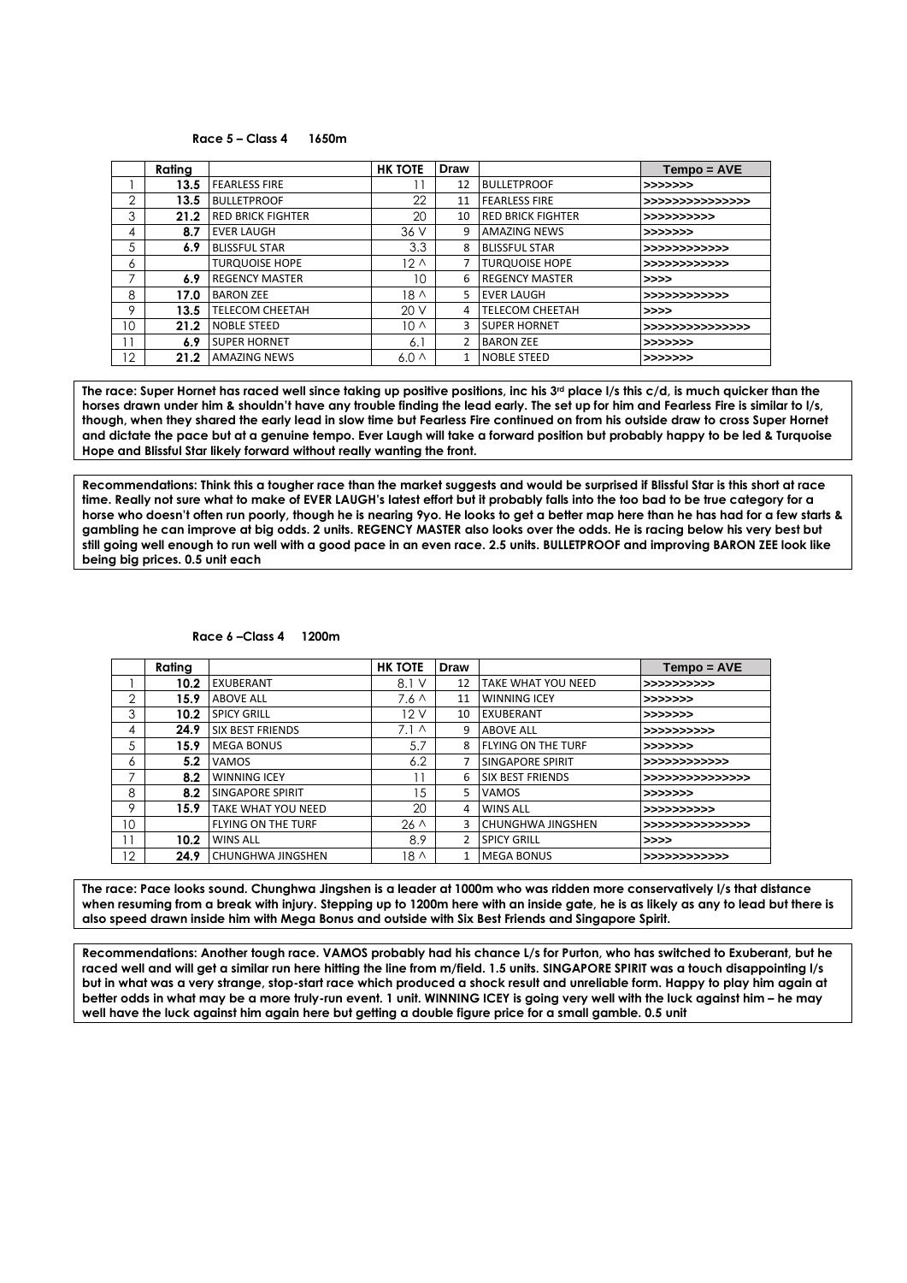#### **Race 5 – Class 4 1650m**

|                | Rating |                          | <b>HK TOTE</b>  | Draw           |                          | $Tempo = AVE$    |
|----------------|--------|--------------------------|-----------------|----------------|--------------------------|------------------|
|                | 13.5   | <b>FEARLESS FIRE</b>     |                 | 12             | <b>BULLETPROOF</b>       | >>>>>>>          |
| $\overline{2}$ | 13.5   | <b>BULLETPROOF</b>       | 22              | 11             | <b>FEARLESS FIRE</b>     | >>>>>>>>>>>>>>>> |
| 3              | 21.2   | <b>RED BRICK FIGHTER</b> | 20              | 10             | <b>RED BRICK FIGHTER</b> | >>>>>>>>>>>      |
| 4              | 8.7    | <b>EVER LAUGH</b>        | 36 V            | 9              | <b>AMAZING NEWS</b>      | >>>>>>>          |
| 5              | 6.9    | <b>BLISSFUL STAR</b>     | 3.3             | 8              | <b>BLISSFUL STAR</b>     | >>>>>>>>>>>>>    |
| 6              |        | <b>TURQUOISE HOPE</b>    | $12 \wedge$     | 7              | <b>TURQUOISE HOPE</b>    | >>>>>>>>>>>>>    |
| ⇁              | 6.9    | <b>REGENCY MASTER</b>    | 10              | 6              | <b>REGENCY MASTER</b>    | >>>>             |
| 8              | 17.0   | <b>BARON ZEE</b>         | 18 ۸            | 5              | <b>EVER LAUGH</b>        | >>>>>>>>>>>>>    |
| 9              | 13.5   | <b>TELECOM CHEETAH</b>   | 20V             | 4              | <b>TELECOM CHEETAH</b>   | >>>>             |
| 10             | 21.2   | <b>NOBLE STEED</b>       | 10 <sub>0</sub> | 3              | <b>SUPER HORNET</b>      | >>>>>>>>>>>>>>>> |
| 11             | 6.9    | <b>SUPER HORNET</b>      | 6.              | $\overline{2}$ | <b>BARON ZEE</b>         | >>>>>>>          |
| 12             | 21.2   | <b>AMAZING NEWS</b>      | $6.0\Lambda$    | $\mathbf{1}$   | <b>NOBLE STEED</b>       | >>>>>>>          |

The race: Super Hornet has raced well since taking up positive positions, inc his 3<sup>rd</sup> place I/s this c/d, is much quicker than the **horses drawn under him & shouldn't have any trouble finding the lead early. The set up for him and Fearless Fire is similar to l/s, though, when they shared the early lead in slow time but Fearless Fire continued on from his outside draw to cross Super Hornet and dictate the pace but at a genuine tempo. Ever Laugh will take a forward position but probably happy to be led & Turquoise Hope and Blissful Star likely forward without really wanting the front.** 

**Recommendations: Think this a tougher race than the market suggests and would be surprised if Blissful Star is this short at race time. Really not sure what to make of EVER LAUGH's latest effort but it probably falls into the too bad to be true category for a horse who doesn't often run poorly, though he is nearing 9yo. He looks to get a better map here than he has had for a few starts & gambling he can improve at big odds. 2 units. REGENCY MASTER also looks over the odds. He is racing below his very best but still going well enough to run well with a good pace in an even race. 2.5 units. BULLETPROOF and improving BARON ZEE look like being big prices. 0.5 unit each**

#### **Race 6 –Class 4 1200m**

|                   | Rating |                           | <b>HK TOTE</b>   | Draw           |                           | Tempo = AVE      |
|-------------------|--------|---------------------------|------------------|----------------|---------------------------|------------------|
|                   | 10.2   | EXUBERANT                 | 8.1 V            | 12             | <b>TAKE WHAT YOU NEED</b> | >>>>>>>>>>>      |
| $\overline{2}$    | 15.9   | <b>ABOVE ALL</b>          | 7.6 <sub>0</sub> | 11             | <b>WINNING ICEY</b>       | >>>>>>>          |
| 3                 | 10.2   | <b>SPICY GRILL</b>        | 12V              | 10             | <b>EXUBERANT</b>          | >>>>>>>          |
| 4                 | 24.9   | <b>SIX BEST FRIENDS</b>   | 7.1 <sub>0</sub> | 9              | <b>ABOVE ALL</b>          | >>>>>>>>>>>      |
| 5                 | 15.9   | <b>MEGA BONUS</b>         | 5.7              | 8              | <b>FLYING ON THE TURF</b> | >>>>>>>          |
| 6                 | 5.2    | <b>VAMOS</b>              | 6.2              | 7              | <b>SINGAPORE SPIRIT</b>   | >>>>>>>>>>>>>    |
| $\overline{ }$    | 8.2    | <b>WINNING ICEY</b>       | $\mathbf{1}$     | 6              | <b>SIX BEST FRIENDS</b>   | >>>>>>>>>>>>>>>> |
| 8                 | 8.2    | <b>SINGAPORE SPIRIT</b>   | 5                | 5              | <b>VAMOS</b>              | >>>>>>>          |
| 9                 | 15.9   | <b>TAKE WHAT YOU NEED</b> | 20               | 4              | <b>WINS ALL</b>           | >>>>>>>>>>>      |
| 10                |        | <b>FLYING ON THE TURF</b> | $26 \wedge$      | 3              | <b>CHUNGHWA JINGSHEN</b>  | >>>>>>>>>>>>>>>> |
| 11                | 10.2   | <b>WINS ALL</b>           | 8.9              | $\overline{2}$ | <b>SPICY GRILL</b>        | >>>              |
| $12 \overline{ }$ | 24.9   | <b>CHUNGHWA JINGSHEN</b>  | $18 \wedge$      | 1              | <b>MEGA BONUS</b>         | >>>>>>>>>>>>>    |

**The race: Pace looks sound. Chunghwa Jingshen is a leader at 1000m who was ridden more conservatively l/s that distance when resuming from a break with injury. Stepping up to 1200m here with an inside gate, he is as likely as any to lead but there is also speed drawn inside him with Mega Bonus and outside with Six Best Friends and Singapore Spirit.**

**Recommendations: Another tough race. VAMOS probably had his chance L/s for Purton, who has switched to Exuberant, but he raced well and will get a similar run here hitting the line from m/field. 1.5 units. SINGAPORE SPIRIT was a touch disappointing l/s but in what was a very strange, stop-start race which produced a shock result and unreliable form. Happy to play him again at better odds in what may be a more truly-run event. 1 unit. WINNING ICEY is going very well with the luck against him – he may well have the luck against him again here but getting a double figure price for a small gamble. 0.5 unit**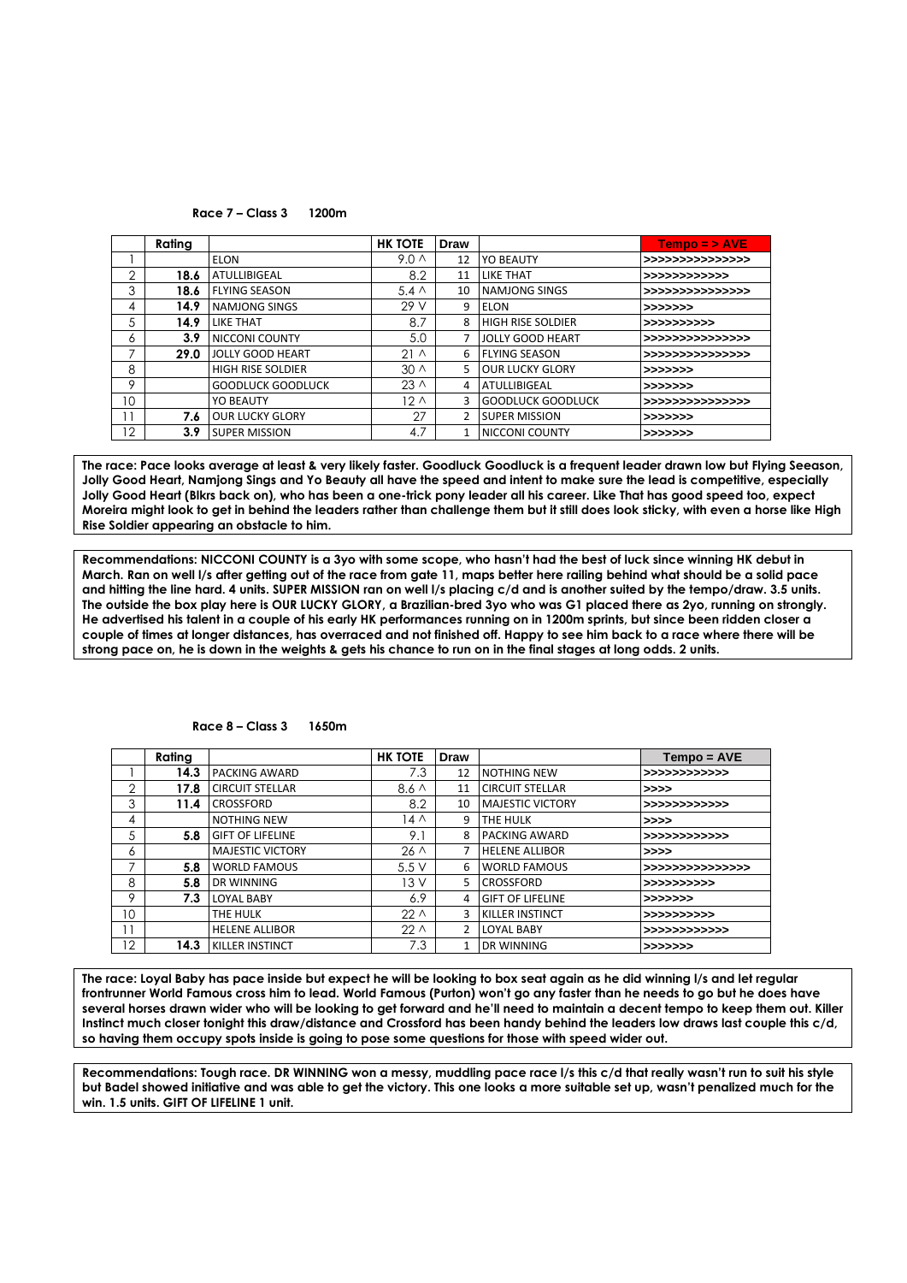**Race 7 – Class 3 1200m**

|     | Rating |                          | <b>HK TOTE</b>   | Draw           |                          | $Tempo = > AVE$  |
|-----|--------|--------------------------|------------------|----------------|--------------------------|------------------|
|     |        | <b>ELON</b>              | 9.0 <sub>0</sub> | 12             | YO BEAUTY                | >>>>>>>>>>>>>>>> |
| 2   | 18.6   | <b>ATULLIBIGEAL</b>      | 8.2              | 11             | <b>LIKE THAT</b>         | >>>>>>>>>>>>>    |
| 3   | 18.6   | <b>FLYING SEASON</b>     | $5.4 \wedge$     | 10             | <b>NAMJONG SINGS</b>     | >>>>>>>>>>>>>>>> |
| 4   | 14.9   | <b>NAMJONG SINGS</b>     | 29 V             | 9              | ELON                     | >>>>>>>          |
| 5   | 14.9   | <b>LIKE THAT</b>         | 8.7              | 8              | <b>HIGH RISE SOLDIER</b> | >>>>>>>>>>>      |
| 6   | 3.9    | <b>NICCONI COUNTY</b>    | 5.0              | 7              | LIOLLY GOOD HEART        | >>>>>>>>>>>>>>>> |
| 7   | 29.0   | <b>JOLLY GOOD HEART</b>  | 21 <sub>0</sub>  | 6              | <b>FLYING SEASON</b>     | >>>>>>>>>>>>>>>> |
| 8   |        | <b>HIGH RISE SOLDIER</b> | $30 \wedge$      | 5              | <b>OUR LUCKY GLORY</b>   | >>>>>>>          |
| 9   |        | <b>GOODLUCK GOODLUCK</b> | $23 \wedge$      | 4              | <b>ATULLIBIGEAL</b>      | >>>>>>>          |
| 10  |        | <b>YO BEAUTY</b>         | 12 <sub>0</sub>  | 3              | <b>GOODLUCK GOODLUCK</b> | >>>>>>>>>>>>>>>> |
| ' 1 | 7.6    | <b>OUR LUCKY GLORY</b>   | 27               | $\overline{2}$ | <b>SUPER MISSION</b>     | >>>>>>>          |
| 12  | 3.9    | <b>SUPER MISSION</b>     | 4.7              | 1              | NICCONI COUNTY           | >>>>>>>          |

**The race: Pace looks average at least & very likely faster. Goodluck Goodluck is a frequent leader drawn low but Flying Seeason, Jolly Good Heart, Namjong Sings and Yo Beauty all have the speed and intent to make sure the lead is competitive, especially Jolly Good Heart (Blkrs back on), who has been a one-trick pony leader all his career. Like That has good speed too, expect Moreira might look to get in behind the leaders rather than challenge them but it still does look sticky, with even a horse like High Rise Soldier appearing an obstacle to him.**

**Recommendations: NICCONI COUNTY is a 3yo with some scope, who hasn't had the best of luck since winning HK debut in March. Ran on well l/s after getting out of the race from gate 11, maps better here railing behind what should be a solid pace and hitting the line hard. 4 units. SUPER MISSION ran on well l/s placing c/d and is another suited by the tempo/draw. 3.5 units. The outside the box play here is OUR LUCKY GLORY, a Brazilian-bred 3yo who was G1 placed there as 2yo, running on strongly. He advertised his talent in a couple of his early HK performances running on in 1200m sprints, but since been ridden closer a couple of times at longer distances, has overraced and not finished off. Happy to see him back to a race where there will be strong pace on, he is down in the weights & gets his chance to run on in the final stages at long odds. 2 units.**

|    | Rating |                         | <b>HK TOTE</b>  | Draw                          |                         | $Tempo = AVE$    |
|----|--------|-------------------------|-----------------|-------------------------------|-------------------------|------------------|
|    | 14.3   | <b>PACKING AWARD</b>    | 7.3             | 12                            | <b>NOTHING NEW</b>      | >>>>>>>>>>>>>    |
| 2  | 17.8   | <b>CIRCUIT STELLAR</b>  | $8.6 \wedge$    | 11                            | <b>CIRCUIT STELLAR</b>  | >>>>             |
| 3  | 11.4   | <b>CROSSFORD</b>        | 8.2             | <b>MAJESTIC VICTORY</b><br>10 |                         | >>>>>>>>>>>>>    |
| 4  |        | <b>NOTHING NEW</b>      | 14 A            | 9                             | THE HULK                | >>>>             |
| 5  | 5.8    | <b>GIFT OF LIFELINE</b> | 9.1             | 8                             | <b>PACKING AWARD</b>    | >>>>>>>>>>>>>    |
| 6  |        | <b>MAJESTIC VICTORY</b> | $26 \wedge$     | 7                             | <b>HELENE ALLIBOR</b>   | >>>>             |
| 7  | 5.8    | <b>WORLD FAMOUS</b>     | 5.5V            | 6                             | <b>WORLD FAMOUS</b>     | >>>>>>>>>>>>>>>> |
| 8  | 5.8    | DR WINNING              | 13 V            | 5                             | <b>CROSSFORD</b>        | >>>>>>>>>>>      |
| 9  | 7.3    | <b>LOYAL BABY</b>       | 6.9             | 4                             | <b>GIFT OF LIFELINE</b> | >>>>>>>          |
| 10 |        | THE HULK                | 22 <sub>0</sub> | 3                             | <b>KILLER INSTINCT</b>  | >>>>>>>>>>>      |
|    |        | <b>HELENE ALLIBOR</b>   | $22\wedge$      | 2                             | <b>LOYAL BABY</b>       | >>>>>>>>>>>>>    |
| 12 | 14.3   | <b>KILLER INSTINCT</b>  | 7.3             |                               | <b>DR WINNING</b>       | >>>>>>>          |

#### **Race 8 – Class 3 1650m**

**The race: Loyal Baby has pace inside but expect he will be looking to box seat again as he did winning l/s and let regular frontrunner World Famous cross him to lead. World Famous (Purton) won't go any faster than he needs to go but he does have several horses drawn wider who will be looking to get forward and he'll need to maintain a decent tempo to keep them out. Killer Instinct much closer tonight this draw/distance and Crossford has been handy behind the leaders low draws last couple this c/d, so having them occupy spots inside is going to pose some questions for those with speed wider out.** 

**Recommendations: Tough race. DR WINNING won a messy, muddling pace race l/s this c/d that really wasn't run to suit his style but Badel showed initiative and was able to get the victory. This one looks a more suitable set up, wasn't penalized much for the win. 1.5 units. GIFT OF LIFELINE 1 unit.**